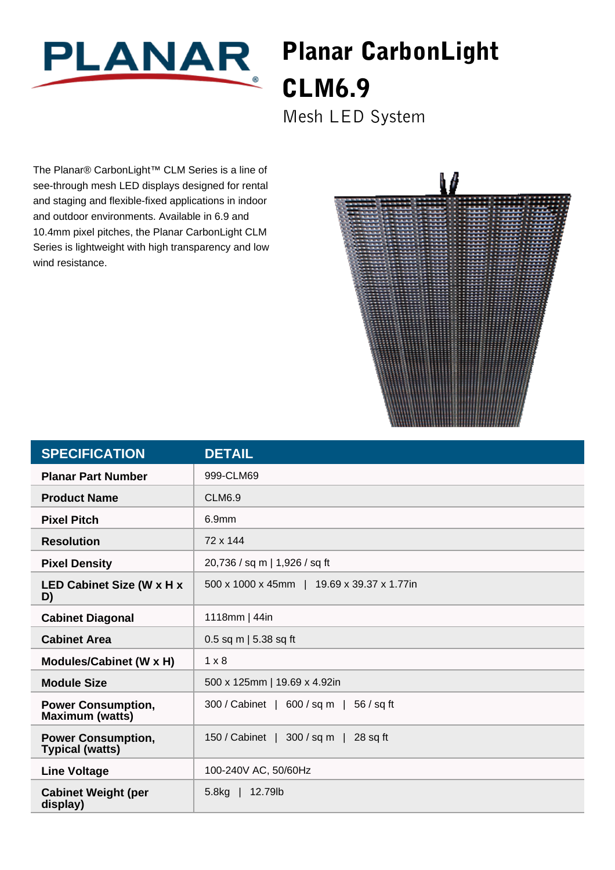

## Planar CarbonLight CLM6.9

Mesh LED System

The Planar® CarbonLight™ CLM Series is a line of see-through mesh LED displays designed for rental and staging and flexible-fixed applications in indoor and outdoor environments. Available in 6.9 and 10.4mm pixel pitches, the Planar CarbonLight CLM Series is lightweight with high transparency and low wind resistance.



| <b>SPECIFICATION</b>                                | <b>DETAIL</b>                                |
|-----------------------------------------------------|----------------------------------------------|
| <b>Planar Part Number</b>                           | 999-CLM69                                    |
| <b>Product Name</b>                                 | <b>CLM6.9</b>                                |
| <b>Pixel Pitch</b>                                  | 6.9mm                                        |
| <b>Resolution</b>                                   | 72 x 144                                     |
| <b>Pixel Density</b>                                | 20,736 / sq m   1,926 / sq ft                |
| <b>LED Cabinet Size (W x H x</b><br>D)              | 500 x 1000 x 45mm   19.69 x 39.37 x 1.77in   |
| <b>Cabinet Diagonal</b>                             | 1118mm   44in                                |
| <b>Cabinet Area</b>                                 | 0.5 sq m   5.38 sq ft                        |
| Modules/Cabinet (W x H)                             | $1 \times 8$                                 |
| <b>Module Size</b>                                  | 500 x 125mm   19.69 x 4.92in                 |
| <b>Power Consumption,</b><br><b>Maximum (watts)</b> | 300 / Cabinet   600 / sq m  <br>$56 / sq$ ft |
| <b>Power Consumption,</b><br><b>Typical (watts)</b> | 150 / Cabinet   300 / sq m  <br>$28$ sq ft   |
| <b>Line Voltage</b>                                 | 100-240V AC, 50/60Hz                         |
| <b>Cabinet Weight (per</b><br>display)              | 5.8 <sub>kg</sub><br>12.79lb                 |